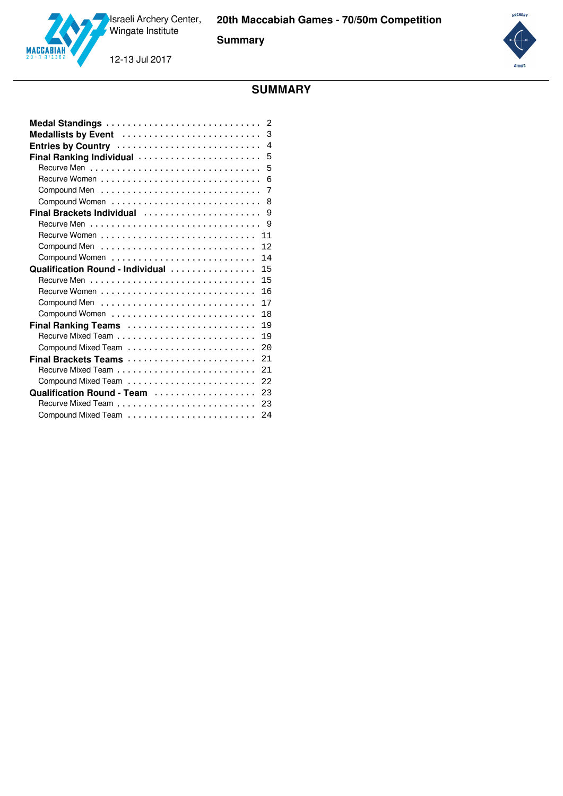**Summary**

12-13 Jul 2017



# **SUMMARY**

|                                  | $\overline{2}$ |
|----------------------------------|----------------|
| Medallists by Event              | 3              |
| Entries by Country               | $\overline{4}$ |
| Final Ranking Individual         | 5              |
|                                  | 5              |
|                                  | 6              |
|                                  | 7              |
|                                  | $\mathsf{R}$   |
| Final Brackets Individual        | 9              |
|                                  | 9              |
|                                  | 11             |
|                                  | 12             |
|                                  | 14             |
| Qualification Round - Individual | 15             |
|                                  | 15             |
|                                  | 16             |
|                                  | 17             |
| Compound Women                   | 18             |
| Final Ranking Teams              | 19             |
|                                  | 19             |
|                                  | 2.0            |
| Final Brackets Teams             | 21             |
|                                  | 21             |
|                                  | 22             |
| Qualification Round - Team       | 23             |
|                                  | 23             |
|                                  | 2.4            |

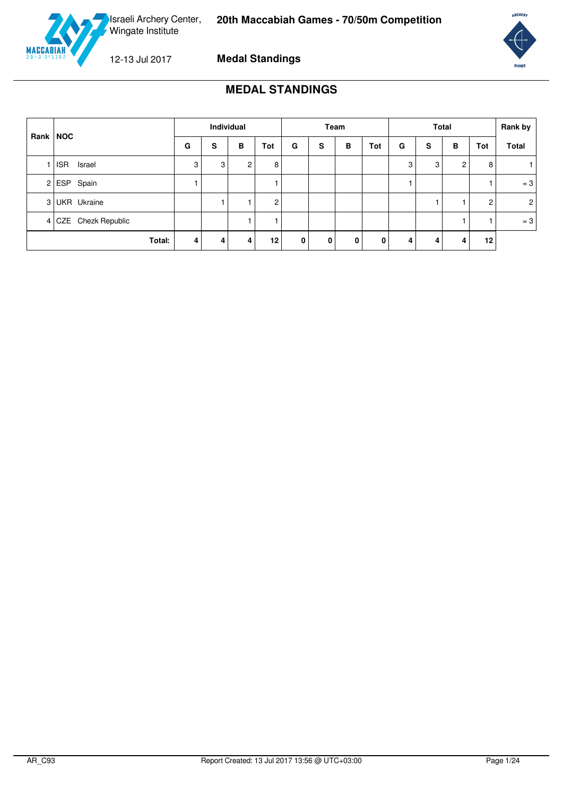

<span id="page-1-0"></span>

**Medal Standings**



### **MEDAL STANDINGS**

| Individual<br>Rank NOC |   |   | Team           |                |             | <b>Total</b> |   |     |   | Rank by |                |                   |                |
|------------------------|---|---|----------------|----------------|-------------|--------------|---|-----|---|---------|----------------|-------------------|----------------|
|                        | G | s | в              | Tot            | G           | s            | в | Tot | G | S       | в              | Tot               | <b>Total</b>   |
| <b>ISR</b><br>Israel   | 3 | 3 | $\overline{2}$ | 8              |             |              |   |     | 3 | 3       | $\overline{2}$ | 8                 |                |
| $2$ ESP Spain          |   |   |                |                |             |              |   |     |   |         |                |                   | $=3$           |
| 3 UKR Ukraine          |   |   |                | $\overline{c}$ |             |              |   |     |   |         |                | 2                 | $\overline{2}$ |
| 4 CZE Chezk Republic   |   |   |                |                |             |              |   |     |   |         |                |                   | $=3$           |
| Total:                 | 4 | 4 | 4              | 12             | $\mathbf 0$ | 0            | 0 | 0   | 4 | 4       |                | $12 \overline{ }$ |                |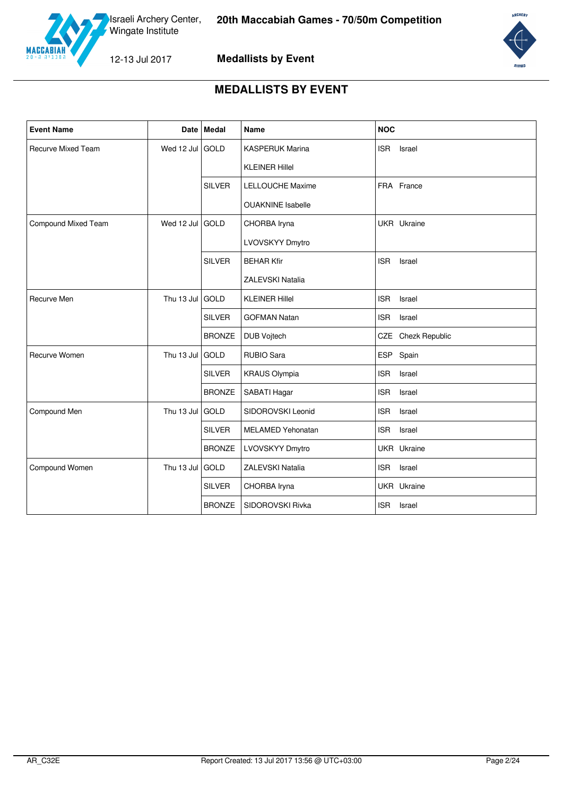



# **MEDALLISTS BY EVENT**

<span id="page-2-0"></span>

| <b>Event Name</b>   |            | Date   Medal  | Name                     | <b>NOC</b>           |
|---------------------|------------|---------------|--------------------------|----------------------|
| Recurve Mixed Team  | Wed 12 Jul | GOLD          | <b>KASPERUK Marina</b>   | <b>ISR</b><br>Israel |
|                     |            |               | <b>KLEINER Hillel</b>    |                      |
|                     |            | <b>SILVER</b> | <b>LELLOUCHE Maxime</b>  | FRA France           |
|                     |            |               | <b>OUAKNINE</b> Isabelle |                      |
| Compound Mixed Team | Wed 12 Jul | GOLD          | CHORBA Iryna             | UKR Ukraine          |
|                     |            |               | LVOVSKYY Dmytro          |                      |
|                     |            | <b>SILVER</b> | <b>BEHAR Kfir</b>        | <b>ISR</b><br>Israel |
|                     |            |               | <b>ZALEVSKI Natalia</b>  |                      |
| Recurve Men         | Thu 13 Jul | <b>GOLD</b>   | <b>KLEINER Hillel</b>    | <b>ISR</b><br>Israel |
|                     |            | <b>SILVER</b> | <b>GOFMAN Natan</b>      | <b>ISR</b><br>Israel |
|                     |            | <b>BRONZE</b> | DUB Vojtech              | CZE Chezk Republic   |
| Recurve Women       | Thu 13 Jul | <b>GOLD</b>   | <b>RUBIO Sara</b>        | ESP Spain            |
|                     |            | <b>SILVER</b> | <b>KRAUS Olympia</b>     | <b>ISR</b><br>Israel |
|                     |            | <b>BRONZE</b> | SABATI Hagar             | <b>ISR</b><br>Israel |
| Compound Men        | Thu 13 Jul | GOLD          | SIDOROVSKI Leonid        | <b>ISR</b><br>Israel |
|                     |            | <b>SILVER</b> | <b>MELAMED Yehonatan</b> | <b>ISR</b><br>Israel |
|                     |            | <b>BRONZE</b> | LVOVSKYY Dmytro          | UKR Ukraine          |
| Compound Women      | Thu 13 Jul | GOLD          | ZALEVSKI Natalia         | <b>ISR</b><br>Israel |
|                     |            | <b>SILVER</b> | CHORBA Iryna             | UKR Ukraine          |
|                     |            | <b>BRONZE</b> | SIDOROVSKI Rivka         | <b>ISR</b><br>Israel |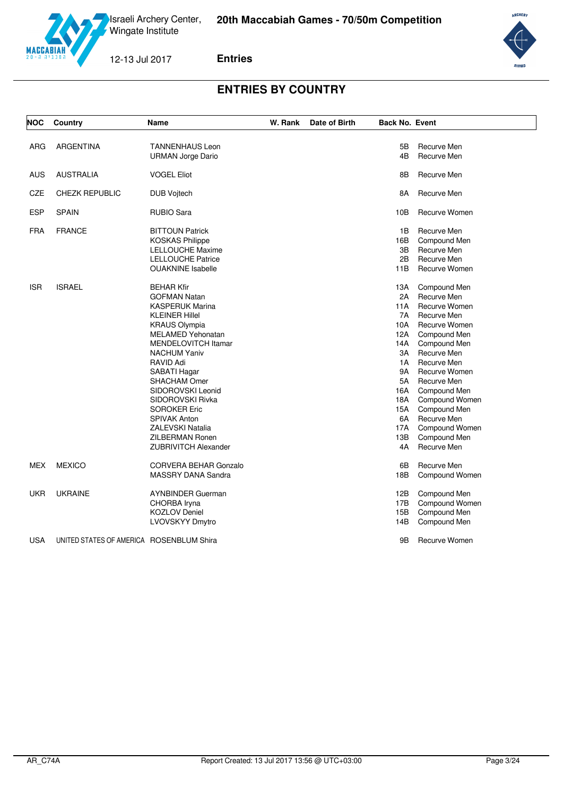

**Entries**



# **ENTRIES BY COUNTRY**

<span id="page-3-0"></span>

| <b>NOC</b> | Country                                  | Name                         | W. Rank | Date of Birth | <b>Back No. Event</b> |                |
|------------|------------------------------------------|------------------------------|---------|---------------|-----------------------|----------------|
|            |                                          |                              |         |               |                       |                |
| <b>ARG</b> | <b>ARGENTINA</b>                         | <b>TANNENHAUS Leon</b>       |         |               | 5B                    | Recurve Men    |
|            |                                          | <b>URMAN Jorge Dario</b>     |         |               | 4B                    | Recurve Men    |
| <b>AUS</b> | <b>AUSTRALIA</b>                         | <b>VOGEL Eliot</b>           |         |               | 8B                    | Recurve Men    |
| CZE        | <b>CHEZK REPUBLIC</b>                    | <b>DUB Vojtech</b>           |         |               | 8A                    | Recurve Men    |
| <b>ESP</b> | <b>SPAIN</b>                             | <b>RUBIO Sara</b>            |         |               | 10B                   | Recurve Women  |
|            |                                          |                              |         |               |                       |                |
| <b>FRA</b> | <b>FRANCE</b>                            | <b>BITTOUN Patrick</b>       |         |               | 1B                    | Recurve Men    |
|            |                                          | <b>KOSKAS Philippe</b>       |         |               | 16B                   | Compound Men   |
|            |                                          | <b>LELLOUCHE Maxime</b>      |         |               | 3B                    | Recurve Men    |
|            |                                          | <b>LELLOUCHE Patrice</b>     |         |               | 2B                    | Recurve Men    |
|            |                                          | <b>OUAKNINE</b> Isabelle     |         |               | 11B                   | Recurve Women  |
| <b>ISR</b> | <b>ISRAEL</b>                            | <b>BEHAR Kfir</b>            |         |               | 13A                   | Compound Men   |
|            |                                          | <b>GOFMAN Natan</b>          |         |               | 2A                    | Recurve Men    |
|            |                                          | <b>KASPERUK Marina</b>       |         |               | 11A                   | Recurve Women  |
|            |                                          | <b>KLEINER Hillel</b>        |         |               | 7A                    | Recurve Men    |
|            |                                          | <b>KRAUS Olympia</b>         |         |               | 10A                   | Recurve Women  |
|            |                                          | <b>MELAMED Yehonatan</b>     |         |               | 12A                   | Compound Men   |
|            |                                          | <b>MENDELOVITCH Itamar</b>   |         |               | 14A                   | Compound Men   |
|            |                                          | <b>NACHUM Yaniv</b>          |         |               | 3A                    | Recurve Men    |
|            |                                          | <b>RAVID Adi</b>             |         |               | 1A                    | Recurve Men    |
|            |                                          | SABATI Hagar                 |         |               | 9A                    | Recurve Women  |
|            |                                          | <b>SHACHAM Omer</b>          |         |               | 5A                    | Recurve Men    |
|            |                                          | SIDOROVSKI Leonid            |         |               | 16A                   | Compound Men   |
|            |                                          | SIDOROVSKI Rivka             |         |               | 18A                   | Compound Women |
|            |                                          | <b>SOROKER Eric</b>          |         |               | 15A                   | Compound Men   |
|            |                                          | <b>SPIVAK Anton</b>          |         |               | 6A                    | Recurve Men    |
|            |                                          | <b>ZALEVSKI Natalia</b>      |         |               | 17A                   | Compound Women |
|            |                                          | ZILBERMAN Ronen              |         |               | 13B                   | Compound Men   |
|            |                                          | <b>ZUBRIVITCH Alexander</b>  |         |               | 4A                    | Recurve Men    |
|            |                                          |                              |         |               |                       |                |
| <b>MEX</b> | <b>MEXICO</b>                            | <b>CORVERA BEHAR Gonzalo</b> |         |               | 6B                    | Recurve Men    |
|            |                                          | MASSRY DANA Sandra           |         |               | 18B                   | Compound Women |
| <b>UKR</b> | <b>UKRAINE</b>                           | <b>AYNBINDER Guerman</b>     |         |               | 12B                   | Compound Men   |
|            |                                          | CHORBA Iryna                 |         |               | 17B                   | Compound Women |
|            |                                          | <b>KOZLOV Deniel</b>         |         |               | 15B                   | Compound Men   |
|            |                                          | <b>LVOVSKYY Dmytro</b>       |         |               | 14B                   | Compound Men   |
|            |                                          |                              |         |               |                       |                |
| <b>USA</b> | UNITED STATES OF AMERICA ROSENBLUM Shira |                              |         |               | 9Β                    | Recurve Women  |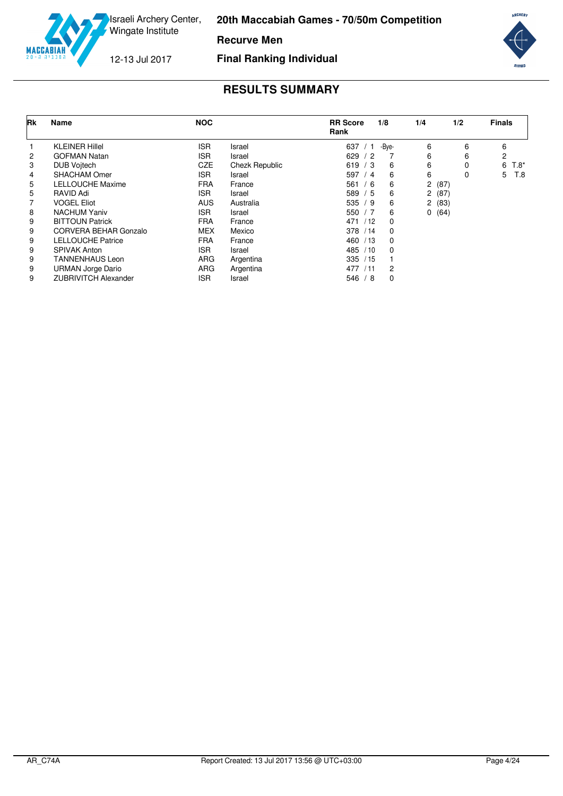

**Recurve Men**

12-13 Jul 2017

**Final Ranking Individual**



<span id="page-4-0"></span>

| Rk | Name                        | <b>NOC</b> |                | <b>RR</b> Score<br>Rank | 1/8   | 1/4   | 1/2 | <b>Finals</b> |
|----|-----------------------------|------------|----------------|-------------------------|-------|-------|-----|---------------|
|    | <b>KLEINER Hillel</b>       | <b>ISR</b> | Israel         | 637<br>່ 1              | -Bye- | 6     | 6   | 6             |
| 2  | <b>GOFMAN Natan</b>         | <b>ISR</b> | Israel         | 629/<br>′ 2             |       | 6     | 6   | 2             |
| 3  | <b>DUB Voitech</b>          | <b>CZE</b> | Chezk Republic | 619 / 3                 | 6     | 6     | 0   | 6<br>$T.8^*$  |
| 4  | <b>SHACHAM Omer</b>         | <b>ISR</b> | Israel         | 597<br>4                | 6     | 6     | 0   | 5<br>T.8      |
| 5  | <b>LELLOUCHE Maxime</b>     | <b>FRA</b> | France         | 561<br>6                | 6     | 2(87) |     |               |
| 5  | RAVID Adi                   | <b>ISR</b> | Israel         | 589<br>/5               | 6     | 2(87) |     |               |
|    | <b>VOGEL Eliot</b>          | <b>AUS</b> | Australia      | 535/<br>′9              | 6     | 2(83) |     |               |
| 8  | <b>NACHUM Yaniv</b>         | <b>ISR</b> | Israel         | 550 $/7$                | 6     | 0(64) |     |               |
| 9  | <b>BITTOUN Patrick</b>      | <b>FRA</b> | France         | 471<br>/12              | 0     |       |     |               |
| 9  | CORVERA BEHAR Gonzalo       | <b>MEX</b> | Mexico         | 378<br>/14              | 0     |       |     |               |
| 9  | <b>LELLOUCHE Patrice</b>    | <b>FRA</b> | France         | 460<br>/13              | 0     |       |     |               |
| 9  | <b>SPIVAK Anton</b>         | <b>ISR</b> | Israel         | 485<br>/10              | 0     |       |     |               |
| 9  | <b>TANNENHAUS Leon</b>      | ARG        | Argentina      | 335<br>/15              |       |       |     |               |
| 9  | <b>URMAN Jorge Dario</b>    | <b>ARG</b> | Argentina      | 477<br>/11              | 2     |       |     |               |
| 9  | <b>ZUBRIVITCH Alexander</b> | <b>ISR</b> | Israel         | ່ 8<br>546/             | 0     |       |     |               |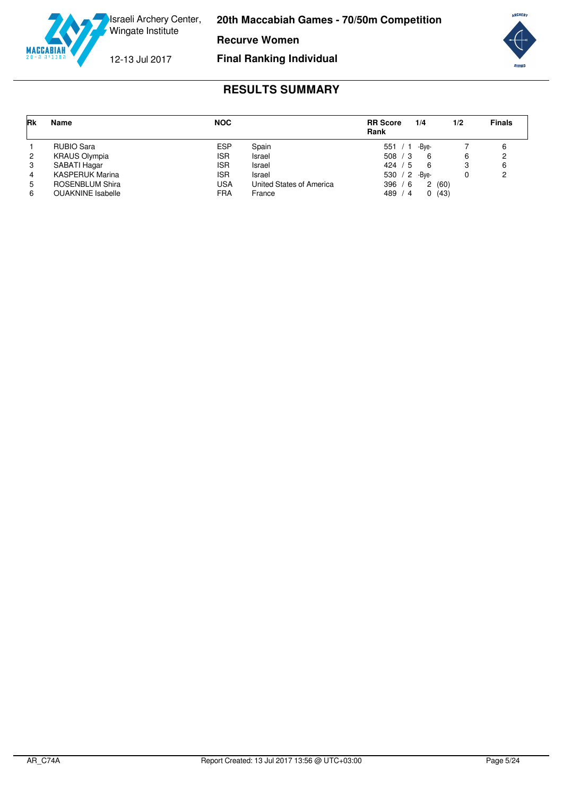

**Recurve Women**

12-13 Jul 2017

**Final Ranking Individual**



<span id="page-5-0"></span>

| Rk | Name                     | <b>NOC</b> |                          | <b>RR</b> Score<br>Rank | 1/4   | 1/2  | <b>Finals</b> |
|----|--------------------------|------------|--------------------------|-------------------------|-------|------|---------------|
|    | RUBIO Sara               | ESP        | Spain                    | 551 / 1                 | -Bve- |      |               |
| 2  | <b>KRAUS Olympia</b>     | <b>ISR</b> | Israel                   | 508 / 3                 | - 6   | 6    |               |
| 3  | SABATI Hagar             | <b>ISR</b> | Israel                   | 424 / 5                 | - 6   |      |               |
| 4  | <b>KASPERUK Marina</b>   | <b>ISR</b> | Israel                   | 530 / 2                 | -Bve- |      |               |
| 5  | <b>ROSENBLUM Shira</b>   | USA        | United States of America | 396 / 6                 | 2     | (60) |               |
| 6  | <b>OUAKNINE</b> Isabelle | FRA        | France                   | 489 /<br>4              | 0     | (43) |               |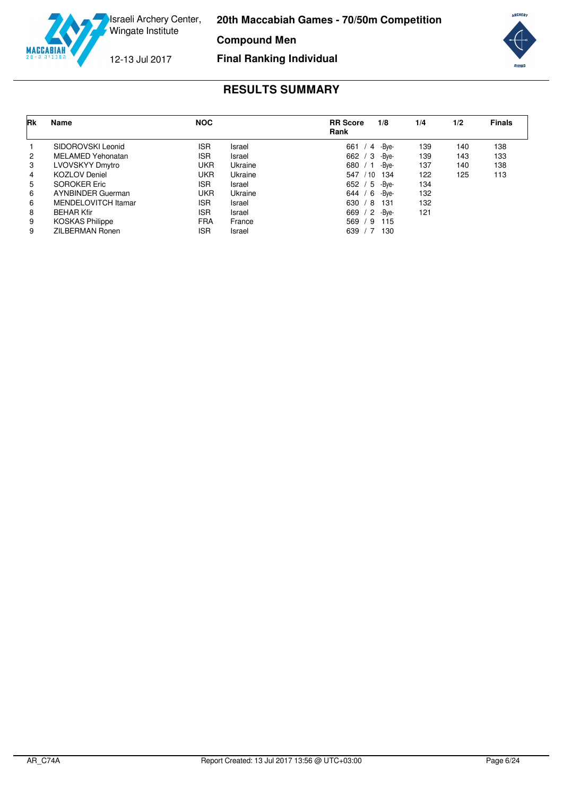

**Compound Men**

12-13 Jul 2017

**Final Ranking Individual**



<span id="page-6-0"></span>

| <b>Rk</b> | <b>Name</b>              | <b>NOC</b> |         | <b>RR</b> Score<br>Rank | 1/8   | 1/4 | 1/2 | <b>Finals</b> |
|-----------|--------------------------|------------|---------|-------------------------|-------|-----|-----|---------------|
|           | SIDOROVSKI Leonid        | <b>ISR</b> | Israel  | 661<br>4                | -Bve- | 139 | 140 | 138           |
| 2         | <b>MELAMED Yehonatan</b> | <b>ISR</b> | Israel  | 662<br>-3               | -Bve- | 139 | 143 | 133           |
| 3         | LVOVSKYY Dmytro          | <b>UKR</b> | Ukraine | 680                     | -Bve- | 137 | 140 | 138           |
| 4         | <b>KOZLOV</b> Deniel     | <b>UKR</b> | Ukraine | 547<br>/ 10             | 134   | 122 | 125 | 113           |
| 5         | <b>SOROKER Eric</b>      | ISR        | Israel  | $^{\prime}$ 5<br>652    | -Bve- | 134 |     |               |
| 6         | <b>AYNBINDER Guerman</b> | UKR        | Ukraine | $644$ /<br>-6           | -Bve- | 132 |     |               |
| 6         | MENDELOVITCH Itamar      | <b>ISR</b> | Israel  | 630<br>/8               | 131   | 132 |     |               |
| 8         | <b>BEHAR Kfir</b>        | <b>ISR</b> | Israel  | /2<br>669               | -Bve- | 121 |     |               |
| 9         | <b>KOSKAS Philippe</b>   | <b>FRA</b> | France  | 569<br>-9               | 115   |     |     |               |
| 9         | ZILBERMAN Ronen          | <b>ISR</b> | Israel  | 639                     | 130   |     |     |               |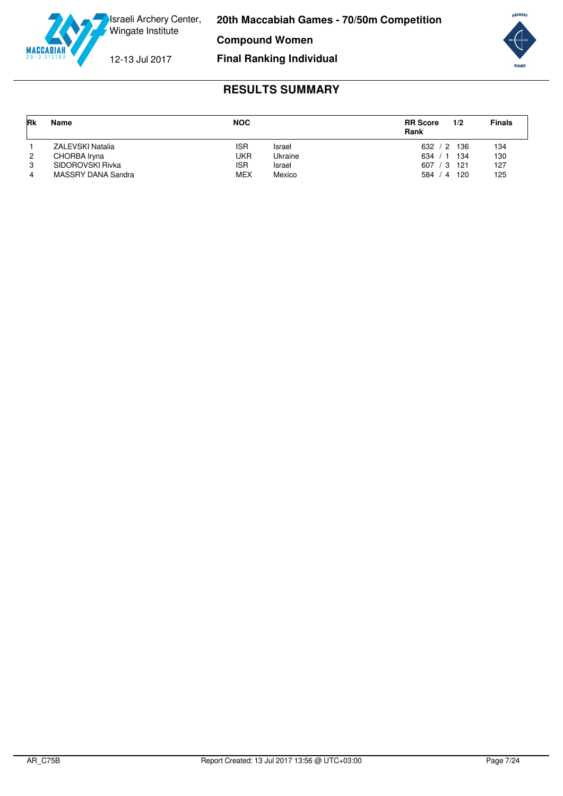

**Compound Women**

12-13 Jul 2017

### **Final Ranking Individual**



<span id="page-7-0"></span>

| <b>Rk</b> | <b>Name</b>             | <b>NOC</b> |         | <b>RR</b> Score<br>Rank | 1/2 | <b>Finals</b> |
|-----------|-------------------------|------------|---------|-------------------------|-----|---------------|
|           | <b>ZALEVSKI Natalia</b> | <b>ISR</b> | Israel  | 632 / 2                 | 136 | 134           |
| 2         | CHORBA Iryna            | UKR        | Ukraine | 634                     | 134 | 130           |
| 3         | SIDOROVSKI Rivka        | <b>ISR</b> | Israel  | 607 / 3                 | 121 | 127           |
| 4         | MASSRY DANA Sandra      | <b>MEX</b> | Mexico  | 584 / 4                 | 120 | 125           |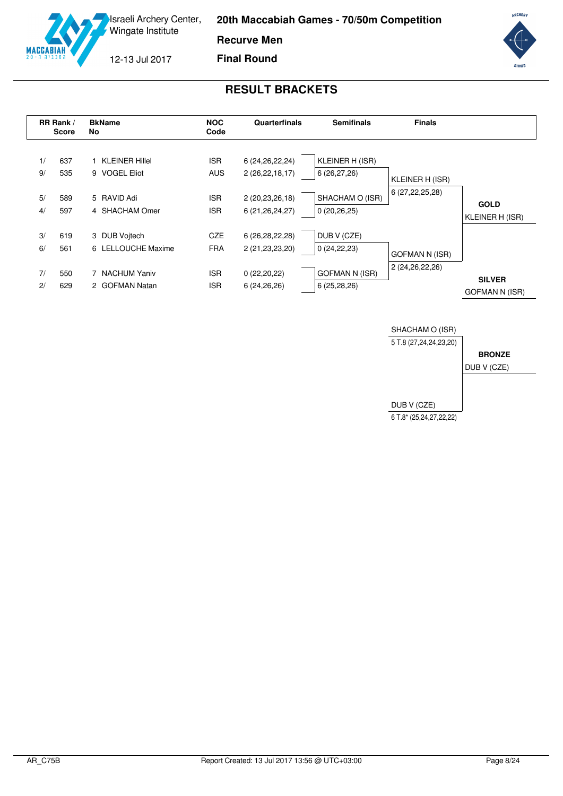**20th Maccabiah Games - 70/50m Competition**

**Recurve Men**



**Final Round**

# **RESULT BRACKETS**

<span id="page-8-0"></span>



**ARCHERY** 

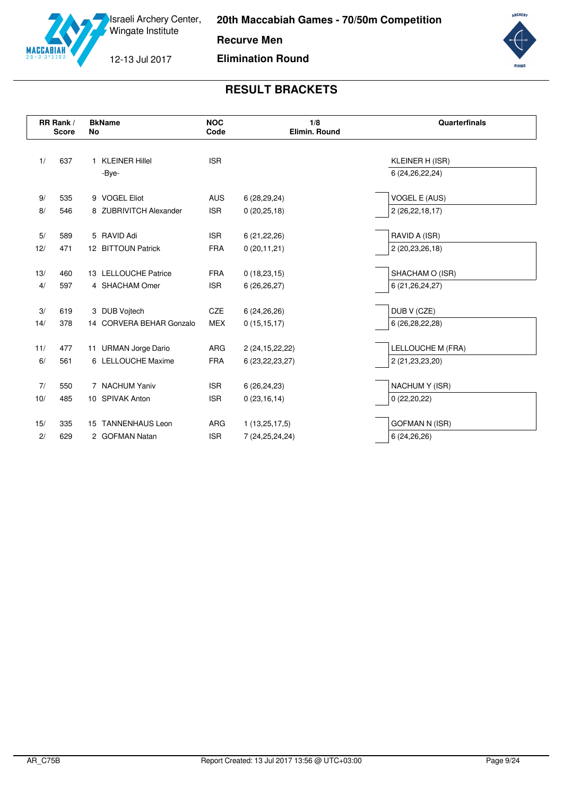

**Recurve Men**

12-13 Jul 2017

**MACCABIA** 

**Elimination Round**



|     | RR Rank /<br><b>Score</b> | <b>BkName</b><br>No          | <b>NOC</b><br>Code | 1/8<br>Elimin. Round | Quarterfinals         |
|-----|---------------------------|------------------------------|--------------------|----------------------|-----------------------|
| 1/  | 637                       | <b>KLEINER Hillel</b>        | <b>ISR</b>         |                      | KLEINER H (ISR)       |
|     |                           | -Bye-                        |                    |                      | 6 (24, 26, 22, 24)    |
| 9/  | 535                       | 9 VOGEL Eliot                | <b>AUS</b>         | 6(28, 29, 24)        | <b>VOGEL E (AUS)</b>  |
| 8/  | 546                       | 8 ZUBRIVITCH Alexander       | <b>ISR</b>         | 0(20, 25, 18)        | 2 (26,22,18,17)       |
| 5/  | 589                       | 5 RAVID Adi                  | <b>ISR</b>         | 6(21, 22, 26)        | RAVID A (ISR)         |
| 12/ | 471                       | 12 BITTOUN Patrick           | <b>FRA</b>         | 0(20, 11, 21)        | 2 (20,23,26,18)       |
| 13/ | 460                       | 13 LELLOUCHE Patrice         | <b>FRA</b>         | 0(18, 23, 15)        | SHACHAM O (ISR)       |
| 4/  | 597                       | 4 SHACHAM Omer               | <b>ISR</b>         | 6(26, 26, 27)        | 6 (21, 26, 24, 27)    |
| 3/  | 619                       | 3 DUB Vojtech                | CZE                | 6(24, 26, 26)        | DUB V (CZE)           |
| 14/ | 378                       | 14 CORVERA BEHAR Gonzalo     | <b>MEX</b>         | 0(15, 15, 17)        | 6 (26,28,22,28)       |
| 11/ | 477                       | 11 URMAN Jorge Dario         | ARG                | 2 (24, 15, 22, 22)   | LELLOUCHE M (FRA)     |
| 6/  | 561                       | 6 LELLOUCHE Maxime           | <b>FRA</b>         | 6 (23, 22, 23, 27)   | 2 (21, 23, 23, 20)    |
| 7/  | 550                       | 7 NACHUM Yaniv               | <b>ISR</b>         | 6(26, 24, 23)        | NACHUM Y (ISR)        |
| 10/ | 485                       | 10 SPIVAK Anton              | <b>ISR</b>         | 0(23, 16, 14)        | 0(22,20,22)           |
| 15/ | 335                       | <b>TANNENHAUS Leon</b><br>15 | ARG                | 1(13,25,17,5)        | <b>GOFMAN N (ISR)</b> |
| 2/  | 629                       | 2 GOFMAN Natan               | <b>ISR</b>         | 7 (24, 25, 24, 24)   | 6(24, 26, 26)         |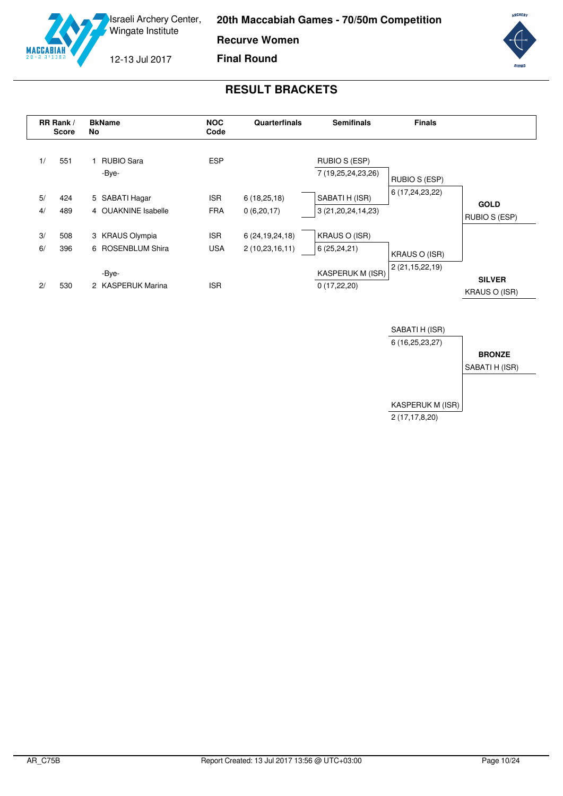**20th Maccabiah Games - 70/50m Competition**

**Recurve Women**



12-13 Jul 2017

**Final Round**



<span id="page-10-0"></span>

|    | RR Rank /<br>Score | <b>BkName</b><br>No | <b>NOC</b><br>Code | Quarterfinals      | <b>Semifinals</b>       | <b>Finals</b>        |                                |
|----|--------------------|---------------------|--------------------|--------------------|-------------------------|----------------------|--------------------------------|
| 1/ | 551                | <b>RUBIO Sara</b>   | <b>ESP</b>         |                    | RUBIO S (ESP)           |                      |                                |
|    |                    | -Bye-               |                    |                    | 7 (19,25,24,23,26)      | <b>RUBIO S (ESP)</b> |                                |
| 5/ | 424                | 5 SABATI Hagar      | <b>ISR</b>         | 6(18,25,18)        | SABATI H (ISR)          | 6 (17,24,23,22)      |                                |
| 4/ | 489                | 4 OUAKNINE Isabelle | <b>FRA</b>         | 0(6,20,17)         | 3 (21, 20, 24, 14, 23)  |                      | <b>GOLD</b><br>RUBIO S (ESP)   |
| 3/ | 508                | 3 KRAUS Olympia     | <b>ISR</b>         | 6 (24, 19, 24, 18) | <b>KRAUS O (ISR)</b>    |                      |                                |
| 6/ | 396                | 6 ROSENBLUM Shira   | <b>USA</b>         | 2(10, 23, 16, 11)  | 6(25, 24, 21)           | <b>KRAUS O (ISR)</b> |                                |
|    |                    | -Bye-               |                    |                    | <b>KASPERUK M (ISR)</b> | 2(21, 15, 22, 19)    |                                |
| 2/ | 530                | 2 KASPERUK Marina   | <b>ISR</b>         |                    | 0(17,22,20)             |                      | <b>SILVER</b><br>KRAUS O (ISR) |

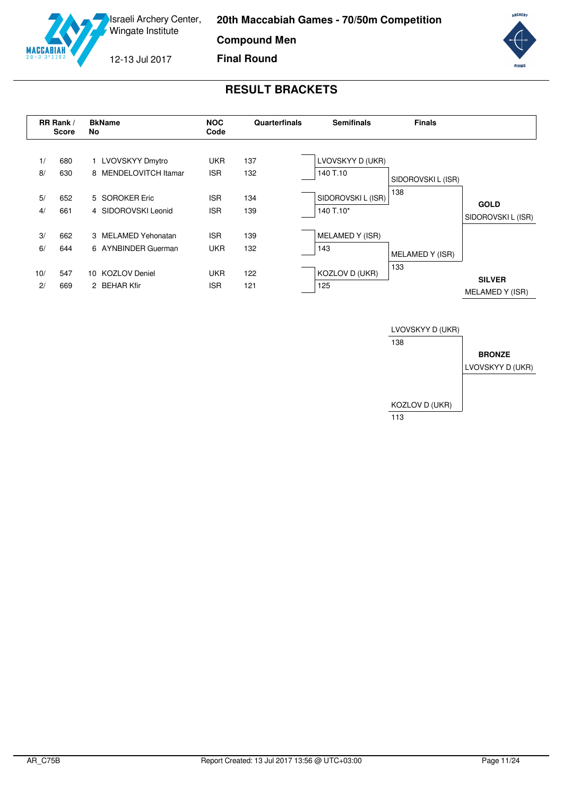**20th Maccabiah Games - 70/50m Competition**

**Compound Men**

12-13 Jul 2017

**MA** 

**Final Round**



<span id="page-11-0"></span>

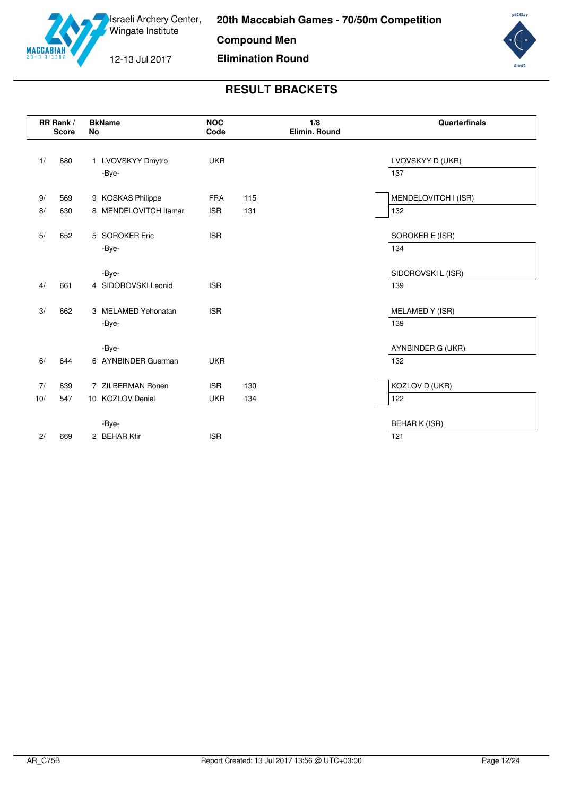

**Compound Men**

12-13 Jul 2017

**Elimination Round**



|     | RR Rank /<br><b>Score</b> | <b>BkName</b><br>No   | <b>NOC</b><br>Code | 1/8<br>Elimin. Round | Quarterfinals        |
|-----|---------------------------|-----------------------|--------------------|----------------------|----------------------|
| 1/  | 680                       | 1 LVOVSKYY Dmytro     | <b>UKR</b>         |                      | LVOVSKYY D (UKR)     |
|     |                           | -Bye-                 |                    |                      | 137                  |
| 9/  | 569                       | 9 KOSKAS Philippe     | <b>FRA</b>         | 115                  | MENDELOVITCH I (ISR) |
| 8/  | 630                       | 8 MENDELOVITCH Itamar | <b>ISR</b>         | 131                  | 132                  |
| 5/  | 652                       | 5 SOROKER Eric        | <b>ISR</b>         |                      | SOROKER E (ISR)      |
|     |                           | -Bye-                 |                    |                      | 134                  |
|     |                           | -Bye-                 |                    |                      | SIDOROVSKI L (ISR)   |
| 4/  | 661                       | 4 SIDOROVSKI Leonid   | <b>ISR</b>         |                      | 139                  |
| 3/  | 662                       | 3 MELAMED Yehonatan   | <b>ISR</b>         |                      | MELAMED Y (ISR)      |
|     |                           | -Bye-                 |                    |                      | 139                  |
|     |                           | -Bye-                 |                    |                      | AYNBINDER G (UKR)    |
| 6/  | 644                       | 6 AYNBINDER Guerman   | <b>UKR</b>         |                      | 132                  |
| 7/  | 639                       | 7 ZILBERMAN Ronen     | <b>ISR</b>         | 130                  | KOZLOV D (UKR)       |
| 10/ | 547                       | 10 KOZLOV Deniel      | <b>UKR</b>         | 134                  | 122                  |
|     |                           | -Bye-                 |                    |                      | <b>BEHAR K (ISR)</b> |
| 2/  | 669                       | 2 BEHAR Kfir          | <b>ISR</b>         |                      | 121                  |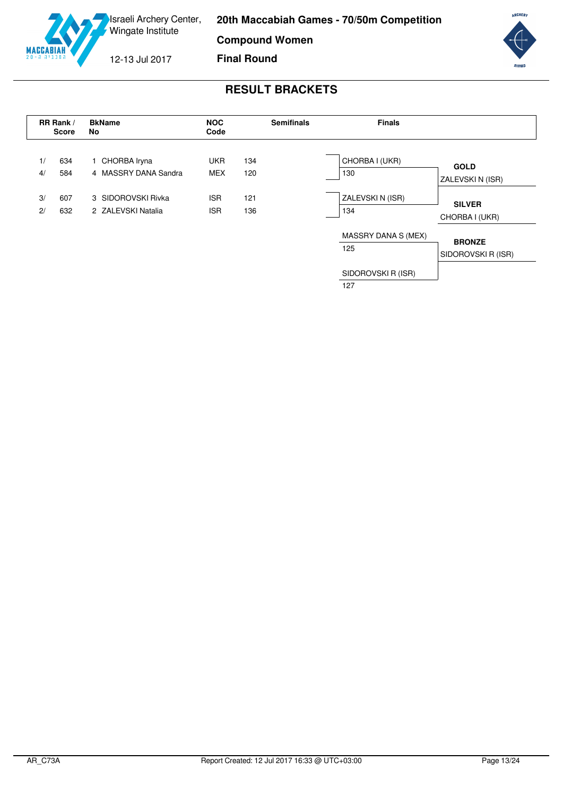**Compound Women**



12-13 Jul 2017

**Final Round**



### **RESULT BRACKETS**

<span id="page-13-0"></span>

SIDOROVSKI R (ISR) 127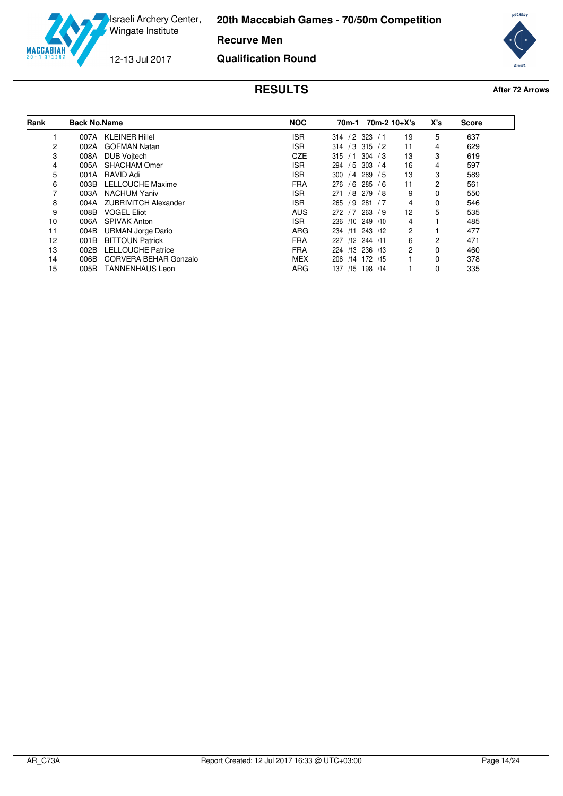

**Recurve Men**

12-13 Jul 2017

**MACCABI** 

**Qualification Round**



<span id="page-14-0"></span>

| Rank | <b>Back No.Name</b> |                             | <b>NOC</b> |                 |                        | 70m-1 70m-2 10+X's | X's | <b>Score</b> |
|------|---------------------|-----------------------------|------------|-----------------|------------------------|--------------------|-----|--------------|
|      | 007A                | <b>KLEINER Hillel</b>       | <b>ISR</b> | $/2$ 323<br>314 | /1                     | 19                 | 5   | 637          |
| 2    | 002A                | <b>GOFMAN Natan</b>         | <b>ISR</b> | 314             | $/3$ 315<br>$\sqrt{2}$ | 11                 | 4   | 629          |
| 3    | 008A                | <b>DUB Vojtech</b>          | <b>CZE</b> | 315<br>/1       | 304<br>/3              | 13                 | 3   | 619          |
| 4    | 005A                | <b>SHACHAM Omer</b>         | <b>ISR</b> | 294<br>/5       | 303<br>/4              | 16                 | 4   | 597          |
| 5    | 001A                | RAVID Adi                   | <b>ISR</b> | 300             | /4 289<br>/5           | 13                 | 3   | 589          |
| 6    | 003B                | LELLOUCHE Maxime            | <b>FRA</b> | 276             | $/6$ 285 $/6$          | 11                 | 2   | 561          |
|      | 003A                | <b>NACHUM Yaniv</b>         | <b>ISR</b> | /8<br>271       | 279 / 8                | 9                  | 0   | 550          |
| 8    | 004A                | <b>ZUBRIVITCH Alexander</b> | <b>ISR</b> | 265<br>/9       | 281<br>/7              | 4                  | 0   | 546          |
| 9    | 008B                | <b>VOGEL Eliot</b>          | <b>AUS</b> | 272<br>/7       | 263<br>79              | 12                 | 5   | 535          |
| 10   | 006A                | <b>SPIVAK Anton</b>         | ISR.       | 236<br>/10      | 249 /10                | 4                  |     | 485          |
| 11   | 004B                | <b>URMAN Jorge Dario</b>    | <b>ARG</b> | 234<br>/11      | 243 /12                | 2                  |     | 477          |
| 12   | 001B                | <b>BITTOUN Patrick</b>      | <b>FRA</b> | 227             | /12 244 /11            | 6                  | 2   | 471          |
| 13   | 002B                | <b>LELLOUCHE Patrice</b>    | <b>FRA</b> | /13<br>224      | 236 /13                | $\overline{2}$     | 0   | 460          |
| 14   | 006B                | CORVERA BEHAR Gonzalo       | <b>MEX</b> | 206<br>/14      | 172 /15                |                    | 0   | 378          |
| 15   | 005B                | <b>TANNENHAUS Leon</b>      | <b>ARG</b> | /15<br>137      | 198<br>/14             |                    | 0   | 335          |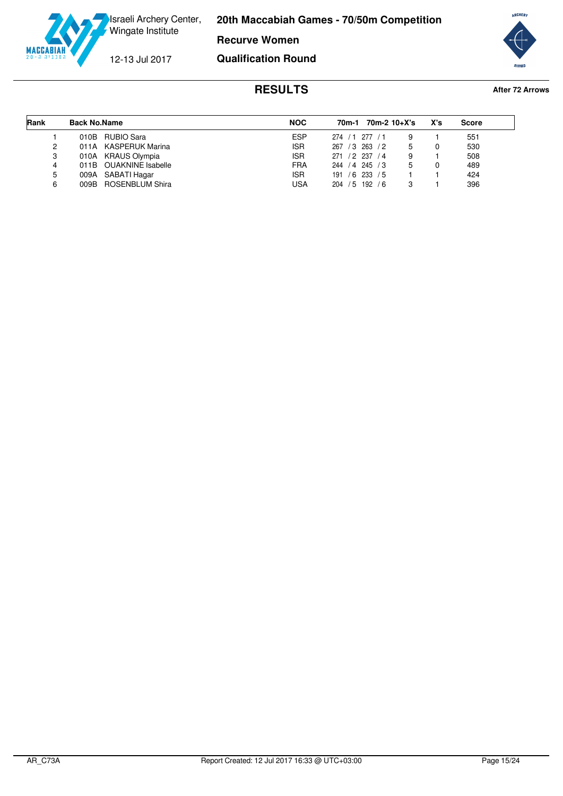

**Recurve Women**

12-13 Jul 2017

**Qualification Round**



<span id="page-15-0"></span>

| Rank | <b>Back No.Name</b>    | <b>NOC</b> | 70m-2 10+X's<br>70m-1  | X's | Score |
|------|------------------------|------------|------------------------|-----|-------|
|      | 010B RUBIO Sara        | ESP        | 274 / 1 277 / 1<br>9   |     | 551   |
| 2    | 011A KASPERUK Marina   | <b>ISR</b> | 267 / 3 263<br>/2<br>5 |     | 530   |
| 3    | 010A KRAUS Olympia     | <b>ISR</b> | 271 / 2 237 / 4<br>9   |     | 508   |
| 4    | 011B OUAKNINE Isabelle | <b>FRA</b> | 244 / 4 245 / 3<br>5   |     | 489   |
| 5    | 009A SABATI Hagar      | <b>ISR</b> | $191 / 6$ 233 / 5      |     | 424   |
| 6    | 009B ROSENBLUM Shira   | <b>USA</b> | 204 / 5 192<br>76<br>з |     | 396   |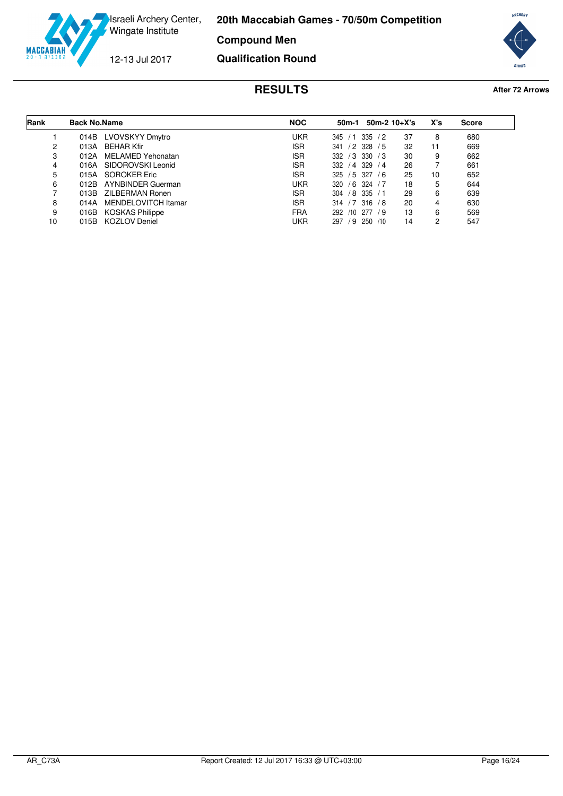

**Compound Men**

12-13 Jul 2017

**MACCABI** 

**Qualification Round**



<span id="page-16-0"></span>

| Rank | <b>Back No.Name</b> |                        | <b>NOC</b> | 50m-1             | $50m-2$ 10+X's |    | X's | <b>Score</b> |
|------|---------------------|------------------------|------------|-------------------|----------------|----|-----|--------------|
|      | 014B                | LVOVSKYY Dmytro        | <b>UKR</b> | 345<br>/1         | 335<br>/2      | 37 | 8   | 680          |
| 2    | 013A                | <b>BEHAR Kfir</b>      | <b>ISR</b> | /2 328<br>341     | /5             | 32 | 11  | 669          |
| 3    | 012A                | MELAMED Yehonatan      | <b>ISR</b> | $/3$ 330<br>332   | /3             | 30 | 9   | 662          |
| 4    | 016A                | SIDOROVSKI Leonid      | <b>ISR</b> | $/4$ 329<br>332   | /4             | 26 |     | 661          |
| 5    | 015A                | SOROKER Eric           | <b>ISR</b> | 325 / 5 327       | 76             | 25 | 10  | 652          |
| 6    | 012B                | AYNBINDER Guerman      | UKR        | 320               | $/6$ 324 $/7$  | 18 | 5   | 644          |
|      | 013B                | ZILBERMAN Ronen        | <b>ISR</b> | /8 335<br>304     | /1             | 29 | 6   | 639          |
| 8    | 014A                | MENDELOVITCH Itamar    | <b>ISR</b> | $314 / 7$ 316 / 8 |                | 20 | 4   | 630          |
| 9    | 016B                | <b>KOSKAS Philippe</b> | <b>FRA</b> | /10<br>292        | 277<br>79      | 13 | 6   | 569          |
| 10   | 015B                | <b>KOZLOV Deniel</b>   | UKR        | /9<br>297         | 250<br>/10     | 14 | 2   | 547          |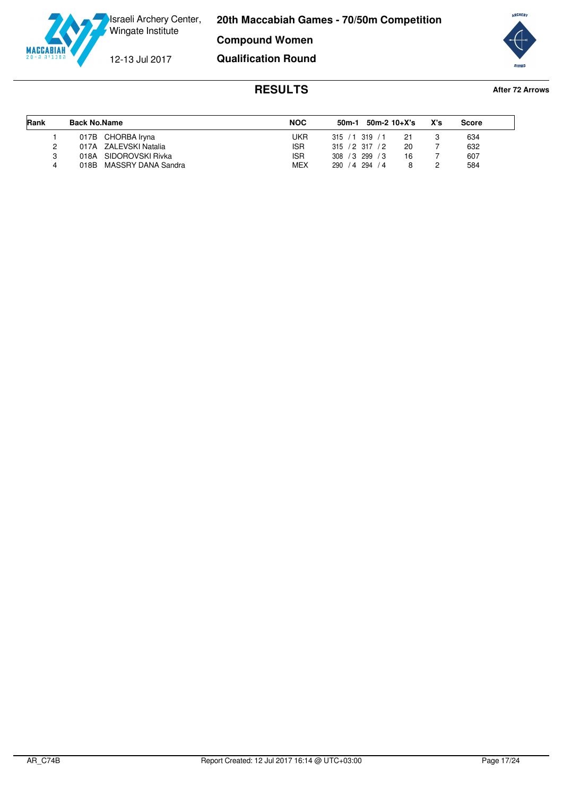

**Compound Women**

12-13 Jul 2017

**Qualification Round**



<span id="page-17-0"></span>

| Rank | <b>Back No.Name</b>     | <b>NOC</b> | $50m-1$ 50m-2 10+X's    | X's | Score |
|------|-------------------------|------------|-------------------------|-----|-------|
|      | 017B CHORBA Iryna       | UKR        | $315 / 1$ 319 / 1<br>21 |     | 634   |
|      | 017A ZALEVSKI Natalia   | ISR.       | 20<br>315 / 2 317 / 2   |     | 632   |
| 3    | 018A SIDOROVSKI Rivka   | <b>ISR</b> | 308 / 3 299 / 3<br>16   |     | 607   |
| 4    | 018B MASSRY DANA Sandra | <b>MEX</b> | 290 / 4 294 / 4         |     | 584   |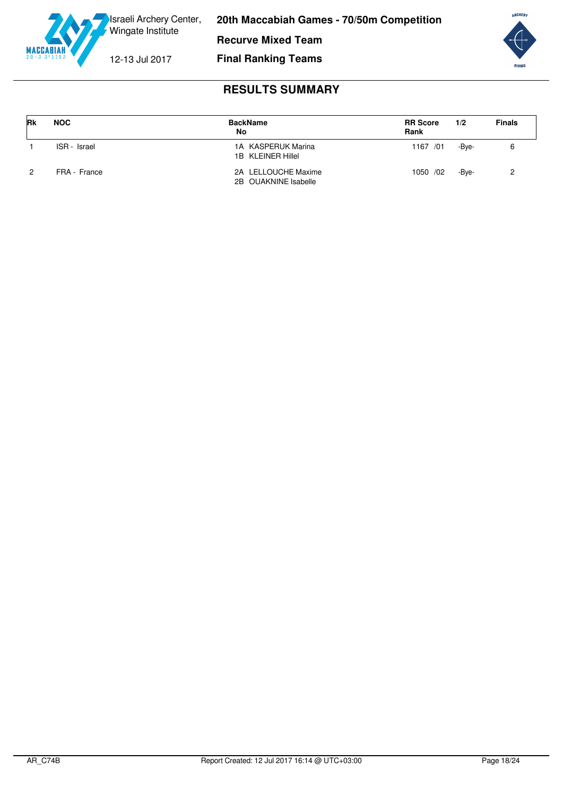

**Recurve Mixed Team**

12-13 Jul 2017

**Final Ranking Teams**



<span id="page-18-0"></span>

| <b>Rk</b>     | <b>NOC</b>   | <b>BackName</b><br>No                       | <b>RR Score</b><br>Rank | 1/2   | <b>Finals</b> |
|---------------|--------------|---------------------------------------------|-------------------------|-------|---------------|
|               | ISR - Israel | 1A KASPERUK Marina<br>1B KLEINER Hillel     | 1167 /01                | -Bve- |               |
| $\mathcal{P}$ | FRA - France | 2A LELLOUCHE Maxime<br>2B OUAKNINE Isabelle | 1050 /02                | -Bve- |               |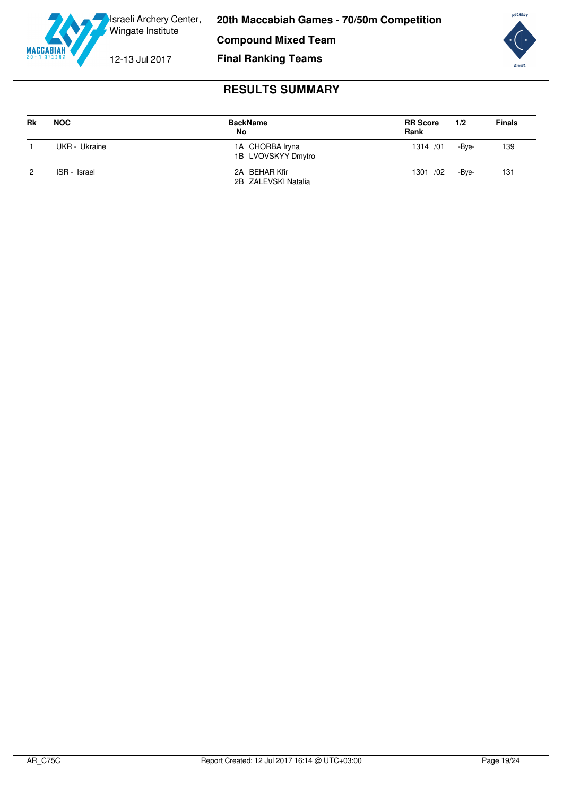

**Compound Mixed Team**

12-13 Jul 2017

**Final Ranking Teams**



<span id="page-19-0"></span>

| <b>Rk</b>      | <b>NOC</b>    | <b>BackName</b><br>No                 | <b>RR Score</b><br>Rank | 1/2   | <b>Finals</b> |
|----------------|---------------|---------------------------------------|-------------------------|-------|---------------|
|                | UKR - Ukraine | 1A CHORBA Iryna<br>1B LVOVSKYY Dmytro | 1314 / 01               | -Bve- | 139           |
| $\overline{2}$ | ISR - Israel  | 2A BEHAR Kfir<br>2B ZALEVSKI Natalia  | 1301 /02                | -Bve- | 131           |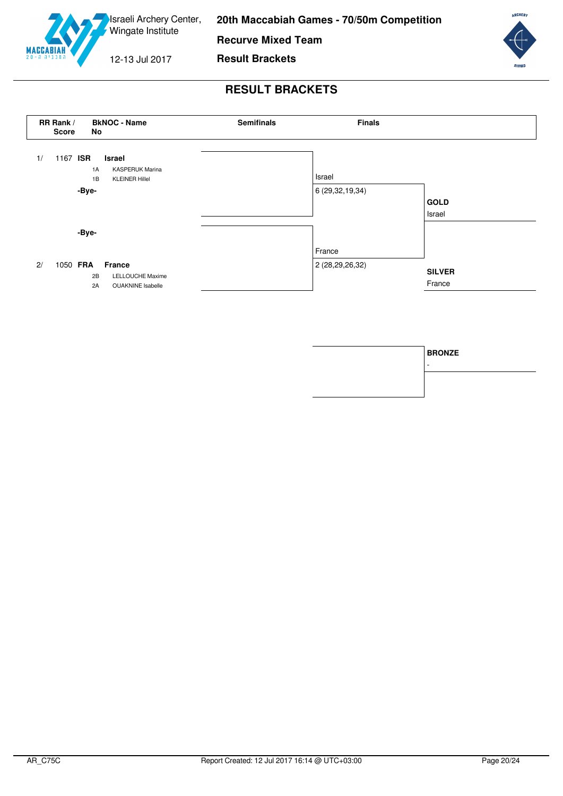

**Recurve Mixed Team**

12-13 Jul 2017

**Result Brackets**



<span id="page-20-0"></span>

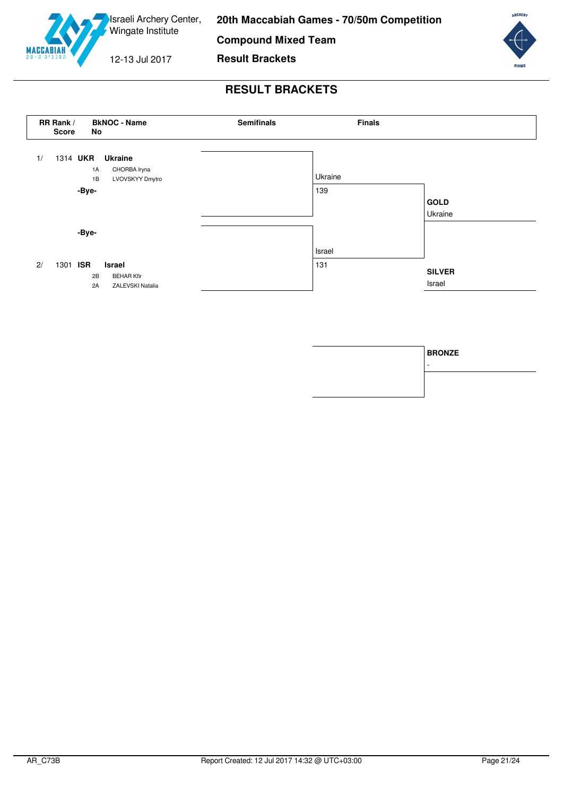

**Compound Mixed Team**

12-13 Jul 2017

**Result Brackets**



<span id="page-21-0"></span>

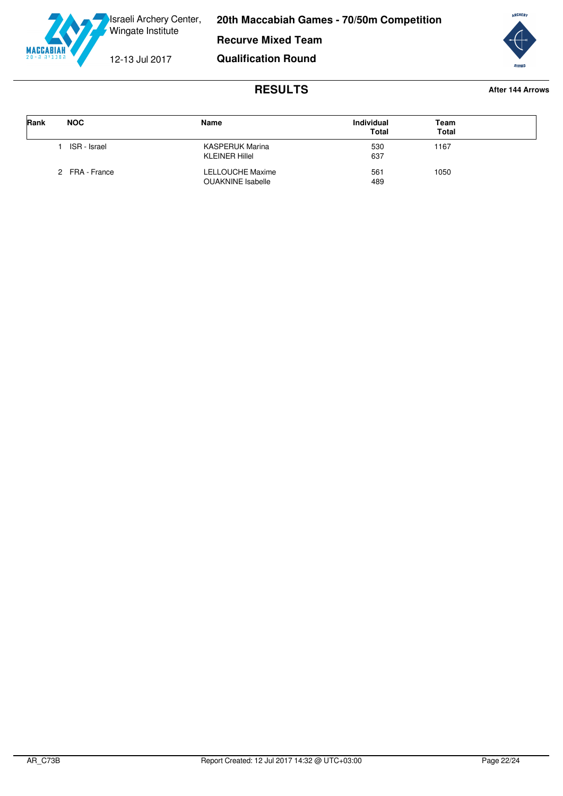



## **RESULTS After 144 Arrows**

**Qualification Round**

<span id="page-22-0"></span>

| Rank | <b>NOC</b>     | Name                                         | <b>Individual</b><br><b>Total</b> | Team<br><b>Total</b> |  |
|------|----------------|----------------------------------------------|-----------------------------------|----------------------|--|
|      | ISR - Israel   | KASPERUK Marina<br><b>KLEINER Hillel</b>     | 530<br>637                        | 1167                 |  |
|      | 2 FRA - France | LELLOUCHE Maxime<br><b>OUAKNINE</b> Isabelle | 561<br>489                        | 1050                 |  |